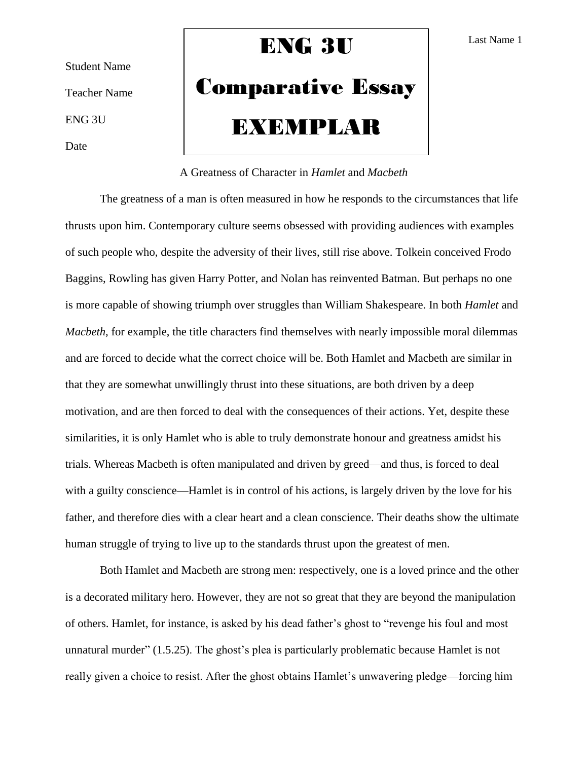Student Name Teacher Name ENG 3U Date

# ENG 3U

# Comparative Essay EXEMPLAR

## A Greatness of Character in *Hamlet* and *Macbeth*

The greatness of a man is often measured in how he responds to the circumstances that life thrusts upon him. Contemporary culture seems obsessed with providing audiences with examples of such people who, despite the adversity of their lives, still rise above. Tolkein conceived Frodo Baggins, Rowling has given Harry Potter, and Nolan has reinvented Batman. But perhaps no one is more capable of showing triumph over struggles than William Shakespeare. In both *Hamlet* and *Macbeth*, for example, the title characters find themselves with nearly impossible moral dilemmas and are forced to decide what the correct choice will be. Both Hamlet and Macbeth are similar in that they are somewhat unwillingly thrust into these situations, are both driven by a deep motivation, and are then forced to deal with the consequences of their actions. Yet, despite these similarities, it is only Hamlet who is able to truly demonstrate honour and greatness amidst his trials. Whereas Macbeth is often manipulated and driven by greed—and thus, is forced to deal with a guilty conscience—Hamlet is in control of his actions, is largely driven by the love for his father, and therefore dies with a clear heart and a clean conscience. Their deaths show the ultimate human struggle of trying to live up to the standards thrust upon the greatest of men.

Both Hamlet and Macbeth are strong men: respectively, one is a loved prince and the other is a decorated military hero. However, they are not so great that they are beyond the manipulation of others. Hamlet, for instance, is asked by his dead father's ghost to "revenge his foul and most unnatural murder" (1.5.25). The ghost's plea is particularly problematic because Hamlet is not really given a choice to resist. After the ghost obtains Hamlet's unwavering pledge—forcing him

Last Name 1